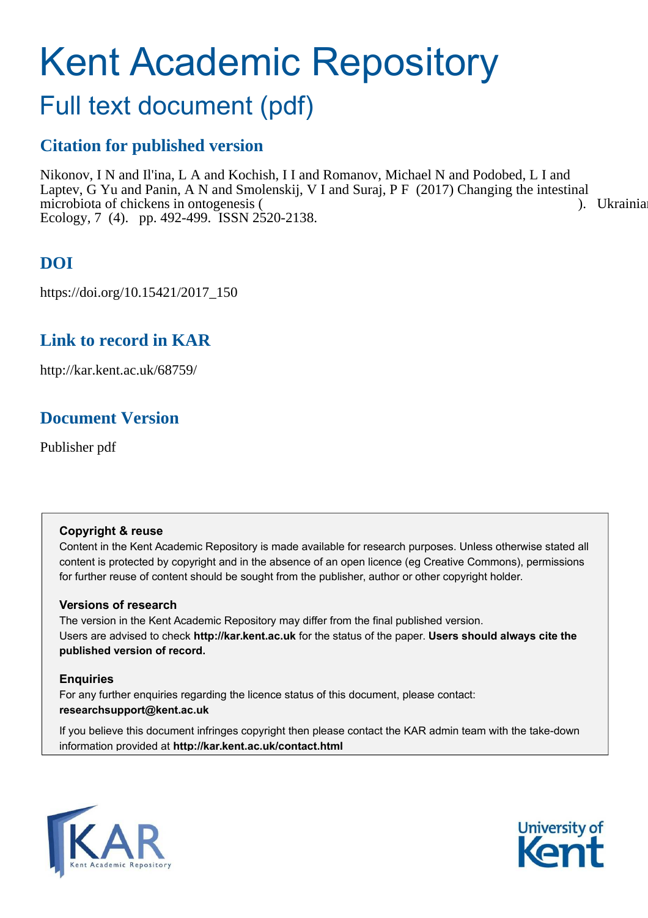# Kent Academic Repository

## Full text document (pdf)

### **Citation for published version**

Nikonov, I N and Il'ina, L A and Kochish, I I and Romanov, Michael N and Podobed, L I and Laptev, G Yu and Panin, A N and Smolenskij, V I and Suraj, P F (2017) Changing the intestinal microbiota of chickens in ontogenesis ( Ecology, 7 (4). pp. 492-499. ISSN 2520-2138.

### **DOI**

https://doi.org/10.15421/2017\_150

### **Link to record in KAR**

http://kar.kent.ac.uk/68759/

### **Document Version**

Publisher pdf

### **Copyright & reuse**

Content in the Kent Academic Repository is made available for research purposes. Unless otherwise stated all content is protected by copyright and in the absence of an open licence (eg Creative Commons), permissions for further reuse of content should be sought from the publisher, author or other copyright holder.

### **Versions of research**

The version in the Kent Academic Repository may differ from the final published version. Users are advised to check **http://kar.kent.ac.uk** for the status of the paper. **Users should always cite the published version of record.**

### **Enquiries**

For any further enquiries regarding the licence status of this document, please contact: **researchsupport@kent.ac.uk**

If you believe this document infringes copyright then please contact the KAR admin team with the take-down information provided at **http://kar.kent.ac.uk/contact.html**



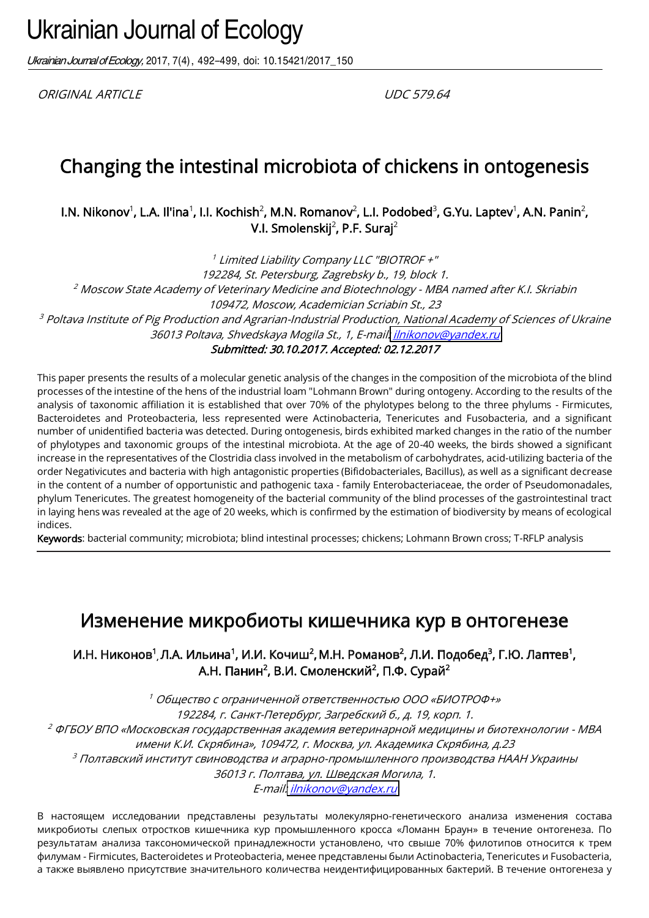Ukrainian Journal of Ecology, 2017, 7(4), 492-499, doi: 10.15421/2017\_150

ORIGINAL ARTICLE UDC 579.64

### Changing the intestinal microbiota of chickens in ontogenesis

l.N. Nikonov $^1$ , L.A. Il'ina $^1$ , I.I. Kochish $^2$ , M.N. Romanov $^2$ , L.I. Podobed $^3$ , G.Yu. Laptev $^1$ , A.N. Panin $^2$ V.l. Smolenskij $^2$ , P.F. Suraj $^2$ 

1 Limited Liability Company LLC "BIOTROF +" 192284, St. Petersburg, Zagrebsky b., 19, block 1. <sup>2</sup> Moscow State Academy of Veterinary Medicine and Biotechnology - MBA named after K.I. Skriabin 109472, Moscow, Academician Scriabin St., 23  $\,3$  Poltava Institute of Pig Production and Agrarian-Industrial Production, National Academy of Sciences of Ukraine 36013 Poltava, Shvedskaya Mogila St., 1, E-mail: *ilnikonov@yandex.ru* 

Submitted: 30.10.2017. Accepted: 02.12.2017

This paper presents the results of a molecular genetic analysis of the changes in the composition of the microbiota of the blind processes of the intestine of the hens of the industrial loam "Lohmann Brown" during ontogeny. According to the results of the analysis of taxonomic affiliation it is established that over 70% of the phylotypes belong to the three phylums - Firmicutes, Bacteroidetes and Proteobacteria, less represented were Actinobacteria, Tenericutes and Fusobacteria, and a significant number of unidentified bacteria was detected. During ontogenesis, birds exhibited marked changes in the ratio of the number of phylotypes and taxonomic groups of the intestinal microbiota. At the age of 20-40 weeks, the birds showed a significant increase in the representatives of the Clostridia class involved in the metabolism of carbohydrates, acid-utilizing bacteria of the order Negativicutes and bacteria with high antagonistic properties (Bifidobacteriales, Bacillus), as well as a significant decrease in the content of a number of opportunistic and pathogenic taxa - family Enterobacteriaceae, the order of Pseudomonadales, phylum Tenericutes. The greatest homogeneity of the bacterial community of the blind processes of the gastrointestinal tract in laying hens was revealed at the age of 20 weeks, which is confirmed by the estimation of biodiversity by means of ecological indices.

Keywords: bacterial community; microbiota; blind intestinal processes; chickens; Lohmann Brown cross; T-RFLP analysis

### Изменение микробиоты кишечника кур в онтогенезе

И.Н. Никонов<sup>1</sup>, Л.А. Ильина<sup>1</sup>, И.И. Кочиш<sup>2</sup>, М.Н. Романов<sup>2</sup>, Л.И. Подобед<sup>3</sup>, Г.Ю. Лаптев<sup>1</sup> А.Н. Панин<sup>2</sup>, В.И. Смоленский<sup>2</sup>, П.Ф. Сурай<sup>2</sup>

<sup>1</sup> Общество с ограниченной ответственностью ООО «БИОТРОФ+» 192284, г. Санкт-Петербург, Загребский б., д. 19, корп. 1.  $^2$  ФГБОУ ВПО «Московская государственная академия ветеринарной медицины и биотехнологии - МВА имени К.И. Скрябина», 109472, г. Москва, ул. Академика Скрябина, д.23 <sup>3</sup> Полтавский институт свиноводства и аграрно-промышленного производства НААН Украины 36013 г. Полтава, ул. Шведская Могила, 1.

E-mail[: ilnikonov@yandex.ru](mailto:ilnikonov@yandex.ru)

В настоящем исследовании представлены результаты молекулярно-генетического анализа изменения состава микробиоты слепых отростков кишечника кур промышленного кросса «Ломанн Браун» в течение онтогенеза. По результатам анализа таксономической принадлежности установлено, что свыше 70% филотипов относится к трем филумам - Firmicutes, Bacteroidetes и Proteobacteria, менее представлены были Actinobacteria, Tenericutes и Fusobacteria, а также выявлено присутствие значительного количества неидентифицированных бактерий. В течение онтогенеза у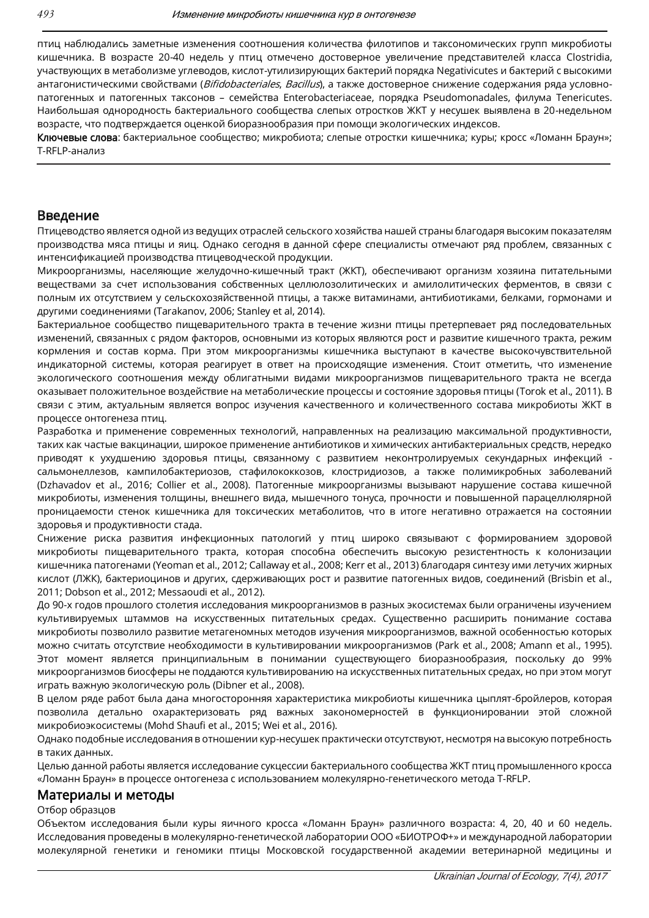птиц наблюдались заметные изменения соотношения количества филотипов и таксономических групп микробиоты кишечника. В возрасте 20-40 недель у птиц отмечено достоверное увеличение представителей класса Clostridia, участвующих в метаболизме углеводов, кислот-утилизирующих бактерий порядка Negativicutes и бактерий с высокими антагонистическими свойствами (Bifidobacteriales, Bacillus), а также достоверное снижение содержания ряда условнопатогенных и патогенных таксонов - семейства Enterobacteriaceae, порядка Pseudomonadales, филума Tenericutes. Наибольшая однородность бактериального сообщества слепых отростков ЖКТ у несушек выявлена в 20-недельном возрасте, что подтверждается оценкой биоразнообразия при помощи экологических индексов.

Ключевые слова: бактериальное сообщество; микробиота; слепые отростки кишечника; куры; кросс «Ломанн Браун»; T-RFLP-анализ

#### Введение

Птицеводство является одной из ведущих отраслей сельского хозяйства нашей страны благодаря высоким показателям производства мяса птицы и яиц. Однако сегодня в данной сфере специалисты отмечают ряд проблем, связанных с интенсификацией производства птицеводческой продукции.

Микроорганизмы, населяющие желудочно-кишечный тракт (ЖКТ), обеспечивают организм хозяина питательными веществами за счет использования собственных целлюлозолитических и амилолитических ферментов, в связи с полным их отсутствием у сельскохозяйственной птицы, а также витаминами, антибиотиками, белками, гормонами и другими соединениями (Tarakanov, 2006; Stanley et al, 2014).

Бактериальное сообщество пищеварительного тракта в течение жизни птицы претерпевает ряд последовательных изменений, связанных с рядом факторов, основными из которых являются рост и развитие кишечного тракта, режим кормления и состав корма. При этом микроорганизмы кишечника выступают в качестве высокочувствительной индикаторной системы, которая реагирует в ответ на происходящие изменения. Стоит отметить, что изменение экологического соотношения между облигатными видами микроорганизмов пищеварительного тракта не всегда оказывает положительное воздействие на метаболические процессы и состояние здоровья птицы (Torok et al., 2011). В связи с этим, актуальным является вопрос изучения качественного и количественного состава микробиоты ЖКТ в процессе онтогенеза птиц.

Разработка и применение современных технологий, направленных на реализацию максимальной продуктивности, таких как частые вакцинации, широкое применение антибиотиков и химических антибактериальных средств, нередко приводят к ухудшению здоровья птицы, связанному с развитием неконтролируемых секундарных инфекций сальмонеллезов, кампилобактериозов, стафилококкозов, клостридиозов, а также полимикробных заболеваний (Dzhavadov et al., 2016; Collier et al., 2008). Патогенные микроорганизмы вызывают нарушение состава кишечной микробиоты, изменения толщины, внешнего вида, мышечного тонуса, прочности и повышенной парацеллюлярной проницаемости стенок кишечника для токсических метаболитов, что в итоге негативно отражается на состоянии здоровья и продуктивности стада.

Снижение риска развития инфекционных патологий у птиц широко связывают с формированием здоровой микробиоты пищеварительного тракта, которая способна обеспечить высокую резистентность к колонизации кишечника патогенами (Yeoman et al., 2012; Callaway et al., 2008; Kerr et al., 2013) благодаря синтезу ими летучих жирных кислот (ЛЖК), бактериоцинов и других, сдерживающих рост и развитие патогенных видов, соединений (Brisbin et al., 2011; Dobson et al., 2012; Messaoudi et al., 2012).

До 90-х годов прошлого столетия исследования микроорганизмов в разных экосистемах были ограничены изучением культивируемых штаммов на искусственных питательных средах. Существенно расширить понимание состава микробиоты позволило развитие метагеномных методов изучения микроорганизмов, важной особенностью которых можно считать отсутствие необходимости в культивировании микроорганизмов (Park et al., 2008; Amann et al., 1995). Этот момент является принципиальным в понимании существующего биоразнообразия, поскольку до 99% микроорганизмов биосферы не поддаются культивированию на искусственных питательных средах, но при этом могут играть важную экологическую роль (Dibner et al., 2008).

В целом ряде работ была дана многосторонняя характеристика микробиоты кишечника цыплят-бройлеров, которая позволила детально охарактеризовать ряд важных закономерностей в функционировании этой сложной микробиоэкосистемы (Mohd Shaufi et al., 2015; Wei et al., 2016).

Однако подобные исследования в отношении кур-несушек практически отсутствуют, несмотря на высокую потребность в таких данных.

Целью данной работы является исследование сукцессии бактериального сообщества ЖКТ птиц промышленного кросса «Ломанн Браун» в процессе онтогенеза с использованием молекулярно-генетического метода T-RFLP.

#### Материалы и методы

#### Отбор образцов

Объектом исследования были куры яичного кросса «Ломанн Браун» различного возраста: 4, 20, 40 и 60 недель. Исследования проведены в молекулярно-генетической лаборатории ООО «БИОТРОФ+» и международной лаборатории молекулярной генетики и геномики птицы Московской государственной академии ветеринарной медицины и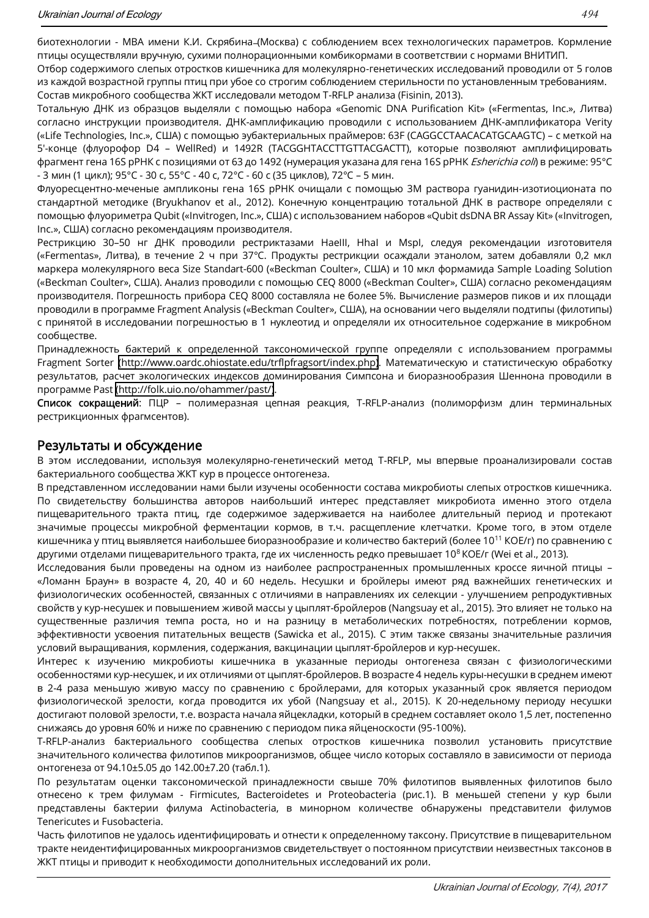Отбор содержимого слепых отростков кишечника для молекулярно-генетических исследований проводили от 5 голов из каждой возрастной группы птиц при убое со строгим соблюдением стерильности по установленным требованиям. Состав микробного сообщества ЖКТ исследовали методом T-RFLP анализа (Fisinin, 2013).

Тотальную ДНК из образцов выделяли с помощью набора «Genomic DNA Purification Kit» («Fermentas, Inc.», Литва) согласно инструкции производителя. ДНК-амплификацию проводили с использованием ДНК-амплификатора Verity («Life Technologies, Inc.», США) с помощью эубактериальных праймеров: 63F (CAGGCCTAACACATGCAAGTC) - с меткой на 5'-конце (флуорофор D4 - WellRed) и 1492R (TACGGHTACCTTGTTACGACTT), которые позволяют амплифицировать фрагмент гена 16S рРНК с позициями от 63 до 1492 (нумерация указана для гена 16S рРНК Esherichia coli) в режиме: 95°С - 3 мин (1 цикл); 95°С - 30 с, 55°С - 40 с, 72°С - 60 с (35 циклов), 72°С - 5 мин.

Флуоресцентно-меченые ампликоны гена 16S pPHK очищали с помощью ЗМ раствора гуанидин-изотиоционата по стандартной методике (Bryukhanov et al., 2012). Конечную концентрацию тотальной ДНК в растворе определяли с помощью флуориметра Qubit («Invitrogen, Inc.», США) с использованием наборов «Qubit dsDNA BR Assay Kit» («Invitrogen, Inc.», США) согласно рекомендациям производителя.

Рестрикцию 30-50 нг ДНК проводили рестриктазами Haelll, Hhal и Mspl, следуя рекомендации изготовителя («Fermentas», Литва), в течение 2 ч при 37°С. Продукты рестрикции осаждали этанолом, затем добавляли 0,2 мкл маркера молекулярного веса Size Standart-600 («Beckman Coulter», США) и 10 мкл формамида Sample Loading Solution («Beckman Coulter», США). Анализ проводили с помощью СЕО 8000 («Beckman Coulter», США) согласно рекомендациям производителя. Погрешность прибора СЕО 8000 составляла не более 5%. Вычисление размеров пиков и их площади проводили в программе Fragment Analysis («Beckman Coulter», США), на основании чего выделяли подтипы (филотипы) с принятой в исследовании погрешностью в 1 нуклеотид и определяли их относительное содержание в микробном сообшестве.

Принадлежность бактерий к определенной таксономической группе определяли с использованием программы Fragment Sorter (http://www.oardc.ohiostate.edu/trflpfragsort/index.php). Математическую и статистическую обработку результатов, расчет экологических индексов доминирования Симпсона и биоразнообразия Шеннона проводили в программе Past (http://folk.uio.no/ohammer/past/).

Список сокращений: ПЦР - полимеразная цепная реакция, T-RFLP-анализ (полиморфизм длин терминальных рестрикционных фрагмсентов).

### Результаты и обсуждение

В этом исследовании, используя молекулярно-генетический метод T-RFLP, мы впервые проанализировали состав бактериального сообщества ЖКТ кур в процессе онтогенеза.

В представленном исследовании нами были изучены особенности состава микробиоты слепых отростков кишечника. По свидетельству большинства авторов наибольший интерес представляет микробиота именно этого отдела пищеварительного тракта птиц, где содержимое задерживается на наиболее длительный период и протекают значимые процессы микробной ферментации кормов, в т.ч. расщепление клетчатки. Кроме того, в этом отделе кишечника у птиц выявляется наибольшее биоразнообразие и количество бактерий (более 10<sup>11</sup> КОЕ/г) по сравнению с другими отделами пищеварительного тракта, где их численность редко превышает 10<sup>8</sup> КОЕ/г (Wei et al., 2013).

Исследования были проведены на одном из наиболее распространенных промышленных кроссе яичной птицы -«Ломанн Браун» в возрасте 4, 20, 40 и 60 недель. Несушки и бройлеры имеют ряд важнейших генетических и физиологических особенностей, связанных с отличиями в направлениях их селекции - улучшением репродуктивных свойств у кур-несушек и повышением живой массы у цыплят-бройлеров (Nangsuay et al., 2015). Это влияет не только на существенные различия темпа роста, но и на разницу в метаболических потребностях, потреблении кормов, эффективности усвоения питательных веществ (Sawicka et al., 2015). С этим также связаны значительные различия условий выращивания, кормления, содержания, вакцинации цыплят-бройлеров и кур-несушек.

Интерес к изучению микробиоты кишечника в указанные периоды онтогенеза связан с физиологическими особенностями кур-несушек, и их отличиями от цыплят-бройлеров. В возрасте 4 недель куры-несушки в среднем имеют в 2-4 раза меньшую живую массу по сравнению с бройлерами, для которых указанный срок является периодом физиологической зрелости, когда проводится их убой (Nangsuay et al., 2015). К 20-недельному периоду несушки достигают половой зрелости, т.е. возраста начала яйцекладки, который в среднем составляет около 1,5 лет, постепенно снижаясь до уровня 60% и ниже по сравнению с периодом пика яйценоскости (95-100%).

T-RFLP-анализ бактериального сообщества слепых отростков кишечника позволил установить присутствие значительного количества филотипов микроорганизмов, общее число которых составляло в зависимости от периода онтогенеза от 94.10±5.05 до 142.00±7.20 (табл.1).

По результатам оценки таксономической принадлежности свыше 70% филотипов выявленных филотипов было отнесено к трем филумам - Firmicutes, Bacteroidetes и Proteobacteria (рис.1). В меньшей степени у кур были представлены бактерии филума Actinobacteria, в минорном количестве обнаружены представители филумов Tenericutes и Fusobacteria.

Часть филотипов не удалось идентифицировать и отнести к определенному таксону. Присутствие в пищеварительном тракте неидентифицированных микроорганизмов свидетельствует о постоянном присутствии неизвестных таксонов в ЖКТ птицы и приводит к необходимости дополнительных исследований их роли.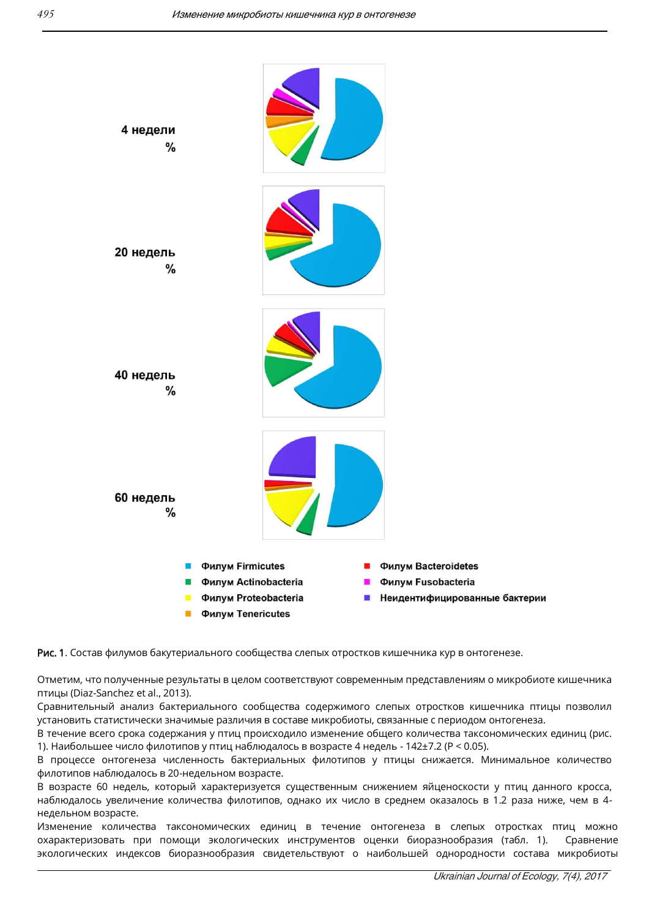

Рис. 1. Состав филумов бакутериального сообщества слепых отростков кишечника кур в онтогенезе.

Отметим, что полученные результаты в целом соответствуют современным представлениям о микробиоте кишечника птицы (Diaz-Sanchez et al., 2013).

Сравнительный анализ бактериального сообщества содержимого слепых отростков кишечника птицы позволил установить статистически значимые различия в составе микробиоты, связанные с периодом онтогенеза.

В течение всего срока содержания у птиц происходило изменение общего количества таксономических единиц (рис. 1). Наибольшее число филотипов у птиц наблюдалось в возрасте 4 недель - 142±7.2 (Р < 0.05).

В процессе онтогенеза численность бактериальных филотипов у птицы снижается. Минимальное количество филотипов наблюдалось в 20-недельном возрасте.

В возрасте 60 недель, который характеризуется существенным снижением яйценоскости у птиц данного кросса, наблюдалось увеличение количества филотипов, однако их число в среднем оказалось в 1.2 раза ниже, чем в 4недельном возрасте.

Изменение количества таксономических единиц в течение онтогенеза в слепых отростках птиц можно охарактеризовать при помощи экологических инструментов оценки биоразнообразия (табл. 1). Сравнение экологических индексов биоразнообразия свидетельствуют о наибольшей однородности состава микробиоты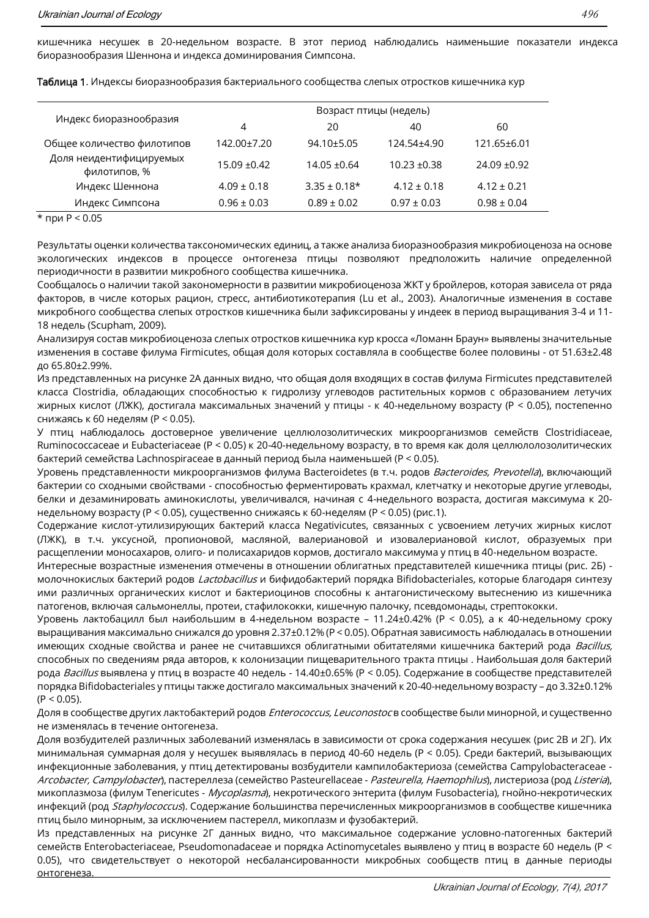кишечника несушек в 20-недельном возрасте. В этот период наблюдались наименьшие показатели индекса биоразнообразия Шеннона и индекса доминирования Симпсона.

| Индекс биоразнообразия                  | Возраст птицы (недель) |                  |                 |                 |
|-----------------------------------------|------------------------|------------------|-----------------|-----------------|
|                                         | 4                      | 20               | 40              | 60              |
| Общее количество филотипов              | 142.00±7.20            | $94.10 \pm 5.05$ | 124.54±4.90     | 121.65±6.01     |
| Доля неидентифицируемых<br>филотипов, % | $15.09 + 0.42$         | $14.05 \pm 0.64$ | $10.23 + 0.38$  | $24.09 + 0.92$  |
| Индекс Шеннона                          | $4.09 + 0.18$          | $3.35 + 0.18*$   | $4.12 \pm 0.18$ | $4.12 + 0.21$   |
| Индекс Симпсона                         | $0.96 \pm 0.03$        | $0.89 \pm 0.02$  | $0.97 \pm 0.03$ | $0.98 \pm 0.04$ |

Таблица 1. Индексы биоразнообразия бактериального сообщества слепых отростков кишечника кур

\* при  $P < 0.05$ 

Результаты оценки количества таксономических единиц, а также анализа биоразнообразия микробиоценоза на основе экологических индексов в процессе онтогенеза птицы позволяют предположить наличие определенной периодичности в развитии микробного сообщества кишечника.

Сообщалось о наличии такой закономерности в развитии микробиоценоза ЖКТ у бройлеров, которая зависела от ряда факторов, в числе которых рацион, стресс, антибиотикотерапия (Lu et al., 2003). Аналогичные изменения в составе микробного сообщества слепых отростков кишечника были зафиксированы у индеек в период выращивания 3-4 и 11-18 недель (Scupham, 2009).

Анализируя состав микробиоценоза слепых отростков кишечника кур кросса «Ломанн Браун» выявлены значительные изменения в составе филума Firmicutes, общая доля которых составляла в сообществе более половины - от 51.63±2.48 до 65.80±2.99%.

Из представленных на рисунке 2А данных видно, что общая доля входящих в состав филума Firmicutes представителей класса Clostridia, обладающих способностью к гидролизу углеводов растительных кормов с образованием летучих жирных кислот (ЛЖК), достигала максимальных значений у птицы - к 40-недельному возрасту (Р < 0.05), постепенно снижаясь к 60 неделям (Р < 0.05).

У птиц наблюдалось достоверное увеличение целлюлозолитических микроорганизмов семейств Clostridiaceae, Ruminococcaceae и Eubacteriaceae (Р < 0.05) к 20-40-недельному возрасту, в то время как доля целлюлолозолитических бактерий семейства Lachnospiraceae в данный период была наименьшей (P < 0.05).

Уровень представленности микроорганизмов филума Bacteroidetes (в т.ч. родов Bacteroides, Prevotella), включающий бактерии со сходными свойствами - способностью ферментировать крахмал, клетчатку и некоторые другие углеводы, белки и дезаминировать аминокислоты, увеличивался, начиная с 4-недельного возраста, достигая максимума к 20недельному возрасту (P < 0.05), существенно снижаясь к 60-неделям (P < 0.05) (рис.1).

Содержание кислот-утилизирующих бактерий класса Negativicutes, связанных с усвоением летучих жирных кислот (ЛЖК), в т.ч. уксусной, пропионовой, масляной, валериановой и изовалериановой кислот, образуемых при расщеплении моносахаров, олиго- и полисахаридов кормов, достигало максимума у птиц в 40-недельном возрасте.

Интересные возрастные изменения отмечены в отношении облигатных представителей кишечника птицы (рис. 2Б) молочнокислых бактерий родов Lactobacillus и бифидобактерий порядка Bifidobacteriales, которые благодаря синтезу ими различных органических кислот и бактериоцинов способны к антагонистическому вытеснению из кишечника патогенов, включая сальмонеллы, протеи, стафилококки, кишечную палочку, псевдомонады, стрептококки.

Уровень лактобацилл был наибольшим в 4-недельном возрасте - 11.24±0.42% (Р < 0.05), а к 40-недельному сроку выращивания максимально снижался до уровня 2.37±0.12% (P < 0.05). Обратная зависимость наблюдалась в отношении имеющих сходные свойства и ранее не считавшихся облигатными обитателями кишечника бактерий рода Bacillus, способных по сведениям ряда авторов, к колонизации пищеварительного тракта птицы. Наибольшая доля бактерий рода Bacillus выявлена у птиц в возрасте 40 недель - 14.40±0.65% (Р < 0.05). Содержание в сообществе представителей порядка Bifidobacteriales у птицы также достигало максимальных значений к 20-40-недельному возрасту - до 3.32±0.12%  $(P < 0.05)$ .

Доля в сообществе других лактобактерий родов *Enterococcus, Leuconostoc* в сообществе были минорной, и существенно не изменялась в течение онтогенеза.

Доля возбудителей различных заболеваний изменялась в зависимости от срока содержания несушек (рис 2В и 2Г). Их минимальная суммарная доля у несушек выявлялась в период 40-60 недель (Р < 0.05). Среди бактерий, вызывающих инфекционные заболевания, у птиц детектированы возбудители кампилобактериоза (семейства Campylobacteraceae -Arcobacter, Campylobacter), пастереллеза (семейство Pasteurellaceae - Pasteurella, Haemophilus), листериоза (род Listeria), микоплазмоза (филум Tenericutes - Mycoplasma), некротического энтерита (филум Fusobacteria), гнойно-некротических инфекций (род *Staphylococcus*). Содержание большинства перечисленных микроорганизмов в сообществе кишечника птиц было минорным, за исключением пастерелл, микоплазм и фузобактерий.

Из представленных на рисунке 2Г данных видно, что максимальное содержание условно-патогенных бактерий семейств Enterobacteriaceae, Pseudomonadaceae и порядка Actinomycetales выявлено у птиц в возрасте 60 недель (Р < 0.05), что свидетельствует о некоторой несбалансированности микробных сообществ птиц в данные периоды онтогенеза.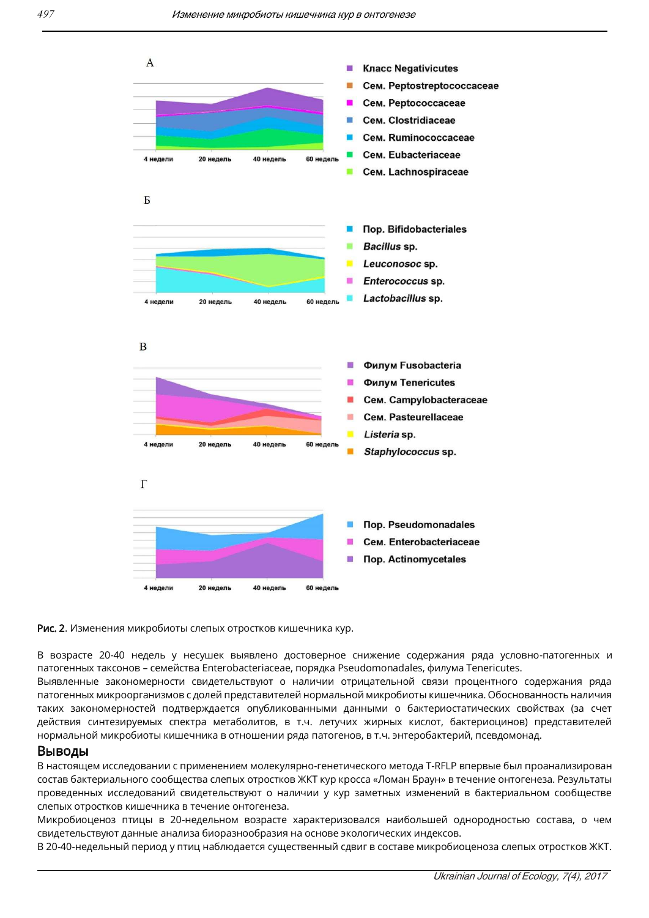



В возрасте 20-40 недель у несушек выявлено достоверное снижение содержания ряда условно-патогенных и патогенных таксонов - семейства Enterobacteriaceae, порядка Pseudomonadales, филума Tenericutes.

Выявленные закономерности свидетельствуют о наличии отрицательной связи процентного содержания ряда патогенных микроорганизмов с долей представителей нормальной микробиоты кишечника. Обоснованность наличия таких закономерностей подтверждается опубликованными данными о бактериостатических свойствах (за счет действия синтезируемых спектра метаболитов, в т.ч. летучих жирных кислот, бактериоцинов) представителей нормальной микробиоты кишечника в отношении ряда патогенов, в т.ч. энтеробактерий, псевдомонад.

#### Выводы

В настоящем исследовании с применением молекулярно-генетического метода T-RFLP впервые был проанализирован состав бактериального сообщества слепых отростков ЖКТ кур кросса «Ломан Браун» в течение онтогенеза. Результаты проведенных исследований свидетельствуют о наличии у кур заметных изменений в бактериальном сообществе слепых отростков кишечника в течение онтогенеза.

Микробиоценоз птицы в 20-недельном возрасте характеризовался наибольшей однородностью состава, о чем свидетельствуют данные анализа биоразнообразия на основе экологических индексов.

В 20-40-недельный период у птиц наблюдается существенный сдвиг в составе микробиоценоза слепых отростков ЖКТ.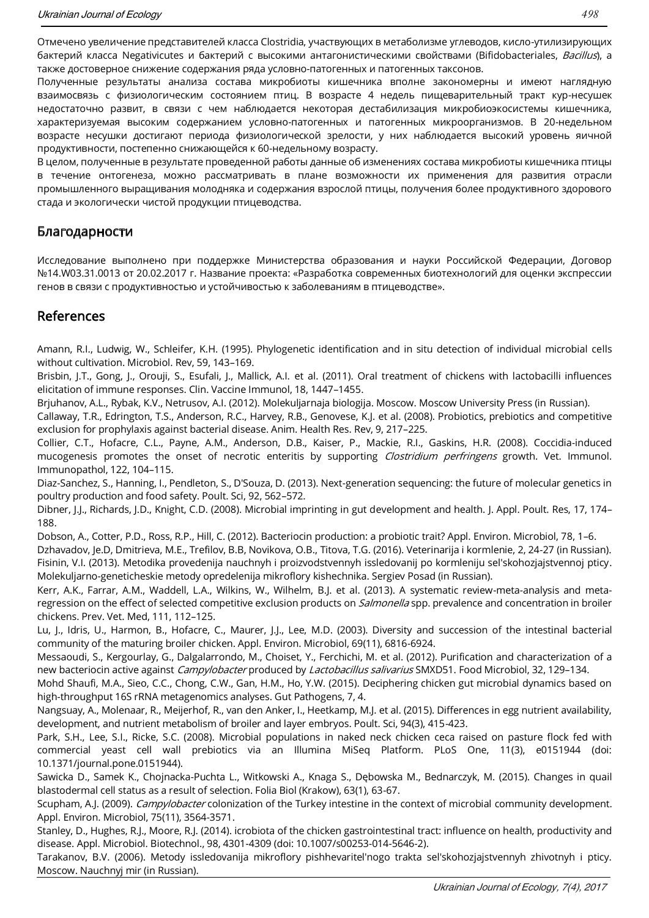Отмечено увеличение представителей класса Clostridia, участвующих в метаболизме углеводов, кисло-утилизирующих бактерий класса Negativicutes и бактерий с высокими антагонистическими свойствами (Bifidobacteriales, Bacillus), а также достоверное снижение содержания ряда условно-патогенных и патогенных таксонов.

Полученные результаты анализа состава микробиоты кишечника вполне закономерны и имеют наглядную взаимосвязь с физиологическим состоянием птиц. В возрасте 4 недель пищеварительный тракт кур-несушек недостаточно развит, в связи с чем наблюдается некоторая дестабилизация микробиоэкосистемы кишечника, характеризуемая высоким содержанием условно-патогенных и патогенных микроорганизмов. В 20-недельном возрасте несушки достигают периода физиологической зрелости, у них наблюдается высокий уровень яичной продуктивности, постепенно снижающейся к 60-недельному возрасту.

В целом, полученные в результате проведенной работы данные об изменениях состава микробиоты кишечника птицы в течение онтогенеза, можно рассматривать в плане возможности их применения для развития отрасли промышленного выращивания молодняка и содержания взрослой птицы, получения более продуктивного здорового стада и экологически чистой продукции птицеводства.

### Благодарности

Исследование выполнено при поддержке Министерства образования и науки Российской Федерации, Договор №14.W03.31.0013 от 20.02.2017 г. Название проекта: «Разработка современных биотехнологий для оценки экспрессии генов в связи с продуктивностью и устойчивостью к заболеваниям в птицеводстве».

### References

Amann, R.I., Ludwig, W., Schleifer, K.H. (1995). Phylogenetic identification and in situ detection of individual microbial cells without cultivation. Microbiol. Rev, 59, 143-169.

Brisbin, J.T., Gong, J., Orouji, S., Esufali, J., Mallick, A.I. et al. (2011). Oral treatment of chickens with lactobacilli influences elicitation of immune responses. Clin. Vaccine Immunol, 18, 1447-1455.

Brjuhanov, A.L., Rybak, K.V., Netrusov, A.I. (2012). Molekuljarnaja biologija. Moscow. Moscow University Press (in Russian).

Callaway, T.R., Edrington, T.S., Anderson, R.C., Harvey, R.B., Genovese, K.J. et al. (2008). Probiotics, prebiotics and competitive exclusion for prophylaxis against bacterial disease. Anim. Health Res. Rev, 9, 217-225.

Collier, C.T., Hofacre, C.L., Payne, A.M., Anderson, D.B., Kaiser, P., Mackie, R.I., Gaskins, H.R. (2008). Coccidia-induced mucogenesis promotes the onset of necrotic enteritis by supporting Clostridium perfringens growth. Vet. Immunol. Immunopathol, 122, 104‒115.

Diaz-Sanchez, S., Hanning, I., Pendleton, S., D'Souza, D. (2013). Next-generation sequencing: the future of molecular genetics in poultry production and food safety. Poult. Sci, 92, 562-572.

Dibner, J.J., Richards, J.D., Knight, C.D. (2008). Microbial imprinting in gut development and health. J. Appl. Poult. Res, 17, 174-188.

Dobson, A., Cotter, P.D., Ross, R.P., Hill, C. (2012). Bacteriocin production: a probiotic trait? Appl. Environ. Microbiol, 78, 1‒6.

Dzhavadov, Je.D, Dmitrieva, M.E., Trefilov, B.B, Novikova, O.B., Titova, T.G. (2016). Veterinarija i kormlenie, 2, 24-27 (in Russian). Fisinin, V.I. (2013). Metodika provedenija nauchnyh i proizvodstvennyh issledovanij po kormleniju sel'skohozjajstvennoj pticy. Molekuljarno-geneticheskie metody opredelenija mikroflory kishechnika. Sergiev Posad (in Russian).

Kerr, A.K., Farrar, A.M., Waddell, L.A., Wilkins, W., Wilhelm, B.J. et al. (2013). A systematic review-meta-analysis and metaregression on the effect of selected competitive exclusion products on *Salmonella* spp. prevalence and concentration in broiler chickens. Prev. Vet. Med, 111, 112-125.

Lu, J., Idris, U., Harmon, B., Hofacre, C., Maurer, J.J., Lee, M.D. (2003). Diversity and succession of the intestinal bacterial community of the maturing broiler chicken. Appl. Environ. Microbiol, 69(11), 6816-6924.

Messaoudi, S., Kergourlay, G., Dalgalarrondo, M., Choiset, Y., Ferchichi, M. et al. (2012). Purification and characterization of a new bacteriocin active against Campylobacter produced by Lactobacillus salivarius SMXD51. Food Microbiol, 32, 129-134.

Mohd Shaufi, M.A., Sieo, C.C., Chong, C.W., Gan, H.M., Ho, Y.W. (2015). Deciphering chicken gut microbial dynamics based on high-throughput 16S rRNA metagenomics analyses. Gut Pathogens, 7, 4.

Nangsuay, A., Molenaar, R., Meijerhof, R., van den Anker, I., Heetkamp, M.J. et al. (2015). Differences in egg nutrient availability, development, and nutrient metabolism of broiler and layer embryos. Poult. Sci, 94(3), 415-423.

Park, S.H., Lee, S.I., Ricke, S.C. (2008). Microbial populations in naked neck chicken ceca raised on pasture flock fed with commercial yeast cell wall prebiotics via an Illumina MiSeq Platform. PLoS One, 11(3), e0151944 (doi: 10.1371/journal.pone.0151944).

Sawicka D., Samek K., Chojnacka-Puchta L., Witkowski A., Knaga S., Dębowska M., Bednarczyk, M. (2015). Changes in quail blastodermal cell status as a result of selection. Folia Biol (Krakow), 63(1), 63-67.

Scupham, A.J. (2009). *Campylobacter* colonization of the Turkey intestine in the context of microbial community development. Appl. Environ. Microbiol, 75(11), 3564-3571.

Stanley, D., Hughes, R.J., Moore, R.J. (2014). icrobiota of the chicken gastrointestinal tract: influence on health, productivity and disease. Appl. Microbiol. Biotechnol., 98, 4301-4309 (doi: 10.1007/s00253-014-5646-2).

Tarakanov, B.V. (2006). Metody issledovanija mikroflory pishhevaritel'nogo trakta sel'skohozjajstvennyh zhivotnyh i pticy. Moscow. Nauchnyj mir (in Russian).